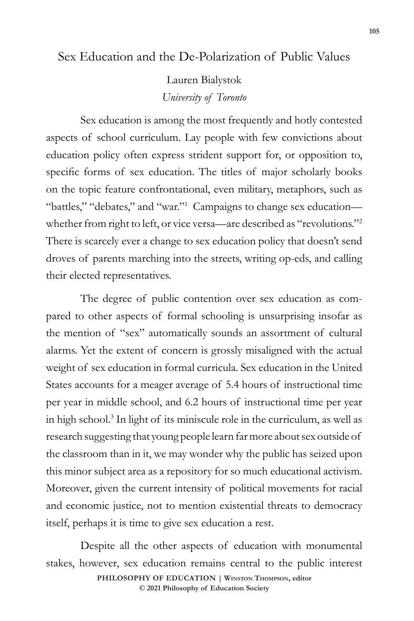# Sex Education and the De-Polarization of Public Values

Lauren Bialystok *University of Toronto*

Sex education is among the most frequently and hotly contested aspects of school curriculum. Lay people with few convictions about education policy often express strident support for, or opposition to, specific forms of sex education. The titles of major scholarly books on the topic feature confrontational, even military, metaphors, such as "battles," "debates," and "war."<sup>1</sup> Campaigns to change sex educationwhether from right to left, or vice versa—are described as "revolutions."<sup>2</sup> There is scarcely ever a change to sex education policy that doesn't send droves of parents marching into the streets, writing op-eds, and calling their elected representatives.

The degree of public contention over sex education as compared to other aspects of formal schooling is unsurprising insofar as the mention of "sex" automatically sounds an assortment of cultural alarms. Yet the extent of concern is grossly misaligned with the actual weight of sex education in formal curricula. Sex education in the United States accounts for a meager average of 5.4 hours of instructional time per year in middle school, and 6.2 hours of instructional time per year in high school.3 In light of its miniscule role in the curriculum, as well as research suggesting that young people learn far more about sex outside of the classroom than in it, we may wonder why the public has seized upon this minor subject area as a repository for so much educational activism. Moreover, given the current intensity of political movements for racial and economic justice, not to mention existential threats to democracy itself, perhaps it is time to give sex education a rest.

Despite all the other aspects of education with monumental stakes, however, sex education remains central to the public interest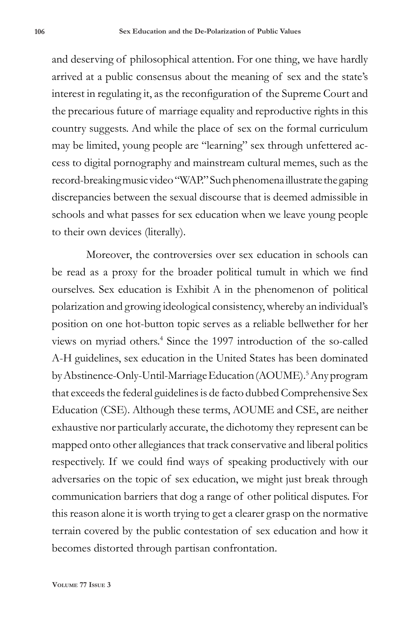and deserving of philosophical attention. For one thing, we have hardly arrived at a public consensus about the meaning of sex and the state's interest in regulating it, as the reconfiguration of the Supreme Court and the precarious future of marriage equality and reproductive rights in this country suggests. And while the place of sex on the formal curriculum may be limited, young people are "learning" sex through unfettered access to digital pornography and mainstream cultural memes, such as the record-breaking music video "WAP." Such phenomena illustrate the gaping discrepancies between the sexual discourse that is deemed admissible in schools and what passes for sex education when we leave young people to their own devices (literally).

Moreover, the controversies over sex education in schools can be read as a proxy for the broader political tumult in which we find ourselves. Sex education is Exhibit A in the phenomenon of political polarization and growing ideological consistency, whereby an individual's position on one hot-button topic serves as a reliable bellwether for her views on myriad others.4 Since the 1997 introduction of the so-called A-H guidelines, sex education in the United States has been dominated by Abstinence-Only-Until-Marriage Education (AOUME).<sup>5</sup> Any program that exceeds the federal guidelines is de facto dubbed Comprehensive Sex Education (CSE). Although these terms, AOUME and CSE, are neither exhaustive nor particularly accurate, the dichotomy they represent can be mapped onto other allegiances that track conservative and liberal politics respectively. If we could find ways of speaking productively with our adversaries on the topic of sex education, we might just break through communication barriers that dog a range of other political disputes. For this reason alone it is worth trying to get a clearer grasp on the normative terrain covered by the public contestation of sex education and how it becomes distorted through partisan confrontation.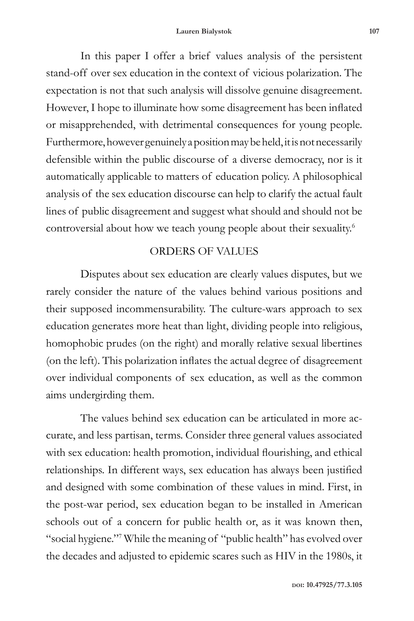In this paper I offer a brief values analysis of the persistent stand-off over sex education in the context of vicious polarization. The expectation is not that such analysis will dissolve genuine disagreement. However, I hope to illuminate how some disagreement has been inflated or misapprehended, with detrimental consequences for young people. Furthermore, however genuinely a position may be held, it is not necessarily defensible within the public discourse of a diverse democracy, nor is it automatically applicable to matters of education policy. A philosophical analysis of the sex education discourse can help to clarify the actual fault lines of public disagreement and suggest what should and should not be controversial about how we teach young people about their sexuality.<sup>6</sup>

## ORDERS OF VALUES

Disputes about sex education are clearly values disputes, but we rarely consider the nature of the values behind various positions and their supposed incommensurability. The culture-wars approach to sex education generates more heat than light, dividing people into religious, homophobic prudes (on the right) and morally relative sexual libertines (on the left). This polarization inflates the actual degree of disagreement over individual components of sex education, as well as the common aims undergirding them.

The values behind sex education can be articulated in more accurate, and less partisan, terms. Consider three general values associated with sex education: health promotion, individual flourishing, and ethical relationships. In different ways, sex education has always been justified and designed with some combination of these values in mind. First, in the post-war period, sex education began to be installed in American schools out of a concern for public health or, as it was known then, "social hygiene."7 While the meaning of "public health" has evolved over the decades and adjusted to epidemic scares such as HIV in the 1980s, it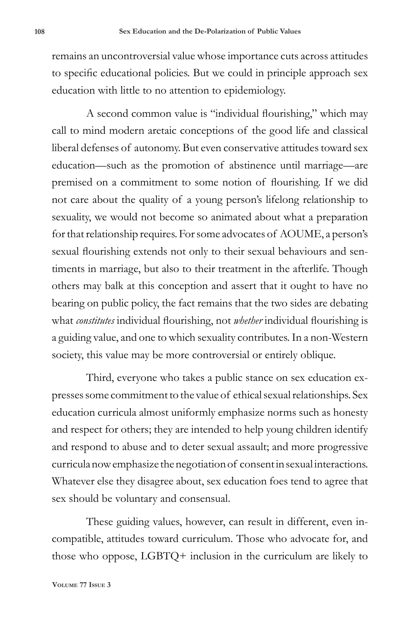remains an uncontroversial value whose importance cuts across attitudes to specific educational policies. But we could in principle approach sex education with little to no attention to epidemiology.

A second common value is "individual flourishing," which may call to mind modern aretaic conceptions of the good life and classical liberal defenses of autonomy. But even conservative attitudes toward sex education—such as the promotion of abstinence until marriage—are premised on a commitment to some notion of flourishing. If we did not care about the quality of a young person's lifelong relationship to sexuality, we would not become so animated about what a preparation for that relationship requires. For some advocates of AOUME, a person's sexual flourishing extends not only to their sexual behaviours and sentiments in marriage, but also to their treatment in the afterlife. Though others may balk at this conception and assert that it ought to have no bearing on public policy, the fact remains that the two sides are debating what *constitutes* individual flourishing, not *whether* individual flourishing is a guiding value, and one to which sexuality contributes. In a non-Western society, this value may be more controversial or entirely oblique.

Third, everyone who takes a public stance on sex education expresses some commitment to the value of ethical sexual relationships. Sex education curricula almost uniformly emphasize norms such as honesty and respect for others; they are intended to help young children identify and respond to abuse and to deter sexual assault; and more progressive curricula now emphasize the negotiation of consent in sexual interactions. Whatever else they disagree about, sex education foes tend to agree that sex should be voluntary and consensual.

These guiding values, however, can result in different, even incompatible, attitudes toward curriculum. Those who advocate for, and those who oppose, LGBTQ+ inclusion in the curriculum are likely to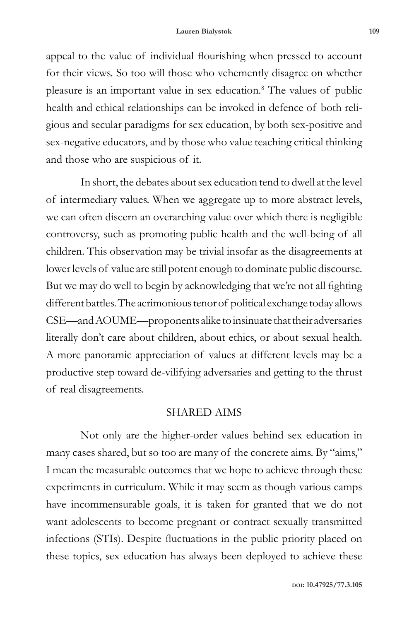appeal to the value of individual flourishing when pressed to account for their views. So too will those who vehemently disagree on whether pleasure is an important value in sex education.<sup>8</sup> The values of public health and ethical relationships can be invoked in defence of both religious and secular paradigms for sex education, by both sex-positive and sex-negative educators, and by those who value teaching critical thinking and those who are suspicious of it.

In short, the debates about sex education tend to dwell at the level of intermediary values. When we aggregate up to more abstract levels, we can often discern an overarching value over which there is negligible controversy, such as promoting public health and the well-being of all children. This observation may be trivial insofar as the disagreements at lower levels of value are still potent enough to dominate public discourse. But we may do well to begin by acknowledging that we're not all fighting different battles. The acrimonious tenor of political exchange today allows CSE—and AOUME—proponents alike to insinuate that their adversaries literally don't care about children, about ethics, or about sexual health. A more panoramic appreciation of values at different levels may be a productive step toward de-vilifying adversaries and getting to the thrust of real disagreements.

#### SHARED AIMS

Not only are the higher-order values behind sex education in many cases shared, but so too are many of the concrete aims. By "aims," I mean the measurable outcomes that we hope to achieve through these experiments in curriculum. While it may seem as though various camps have incommensurable goals, it is taken for granted that we do not want adolescents to become pregnant or contract sexually transmitted infections (STIs). Despite fluctuations in the public priority placed on these topics, sex education has always been deployed to achieve these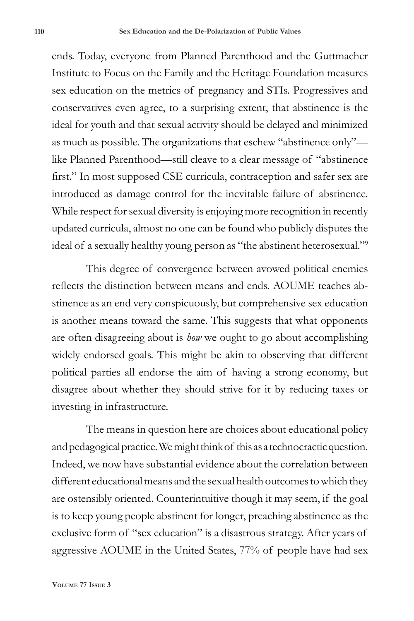ends. Today, everyone from Planned Parenthood and the Guttmacher Institute to Focus on the Family and the Heritage Foundation measures sex education on the metrics of pregnancy and STIs. Progressives and conservatives even agree, to a surprising extent, that abstinence is the ideal for youth and that sexual activity should be delayed and minimized as much as possible. The organizations that eschew "abstinence only" like Planned Parenthood—still cleave to a clear message of "abstinence first." In most supposed CSE curricula, contraception and safer sex are introduced as damage control for the inevitable failure of abstinence. While respect for sexual diversity is enjoying more recognition in recently updated curricula, almost no one can be found who publicly disputes the ideal of a sexually healthy young person as "the abstinent heterosexual."9

This degree of convergence between avowed political enemies reflects the distinction between means and ends. AOUME teaches abstinence as an end very conspicuously, but comprehensive sex education is another means toward the same. This suggests that what opponents are often disagreeing about is *how* we ought to go about accomplishing widely endorsed goals. This might be akin to observing that different political parties all endorse the aim of having a strong economy, but disagree about whether they should strive for it by reducing taxes or investing in infrastructure.

The means in question here are choices about educational policy and pedagogical practice. We might think of this as a technocractic question. Indeed, we now have substantial evidence about the correlation between different educational means and the sexual health outcomes to which they are ostensibly oriented. Counterintuitive though it may seem, if the goal is to keep young people abstinent for longer, preaching abstinence as the exclusive form of "sex education" is a disastrous strategy. After years of aggressive AOUME in the United States, 77% of people have had sex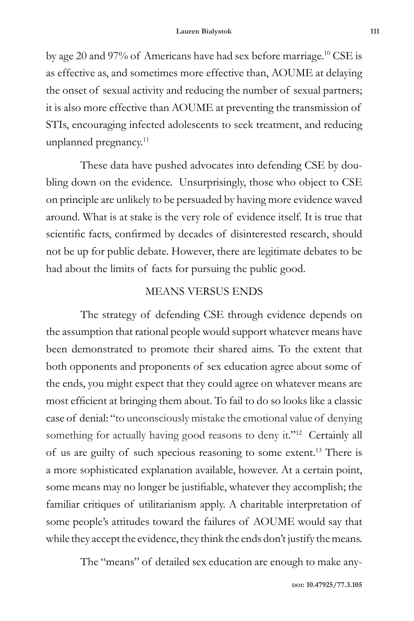by age 20 and 97% of Americans have had sex before marriage.10 CSE is as effective as, and sometimes more effective than, AOUME at delaying the onset of sexual activity and reducing the number of sexual partners; it is also more effective than AOUME at preventing the transmission of STIs, encouraging infected adolescents to seek treatment, and reducing unplanned pregnancy.<sup>11</sup>

These data have pushed advocates into defending CSE by doubling down on the evidence. Unsurprisingly, those who object to CSE on principle are unlikely to be persuaded by having more evidence waved around. What is at stake is the very role of evidence itself. It is true that scientific facts, confirmed by decades of disinterested research, should not be up for public debate. However, there are legitimate debates to be had about the limits of facts for pursuing the public good.

## MEANS VERSUS ENDS

The strategy of defending CSE through evidence depends on the assumption that rational people would support whatever means have been demonstrated to promote their shared aims. To the extent that both opponents and proponents of sex education agree about some of the ends, you might expect that they could agree on whatever means are most efficient at bringing them about. To fail to do so looks like a classic case of denial: "to unconsciously mistake the emotional value of denying something for actually having good reasons to deny it."<sup>12</sup> Certainly all of us are guilty of such specious reasoning to some extent.13 There is a more sophisticated explanation available, however. At a certain point, some means may no longer be justifiable, whatever they accomplish; the familiar critiques of utilitarianism apply. A charitable interpretation of some people's attitudes toward the failures of AOUME would say that while they accept the evidence, they think the ends don't justify the means.

The "means" of detailed sex education are enough to make any-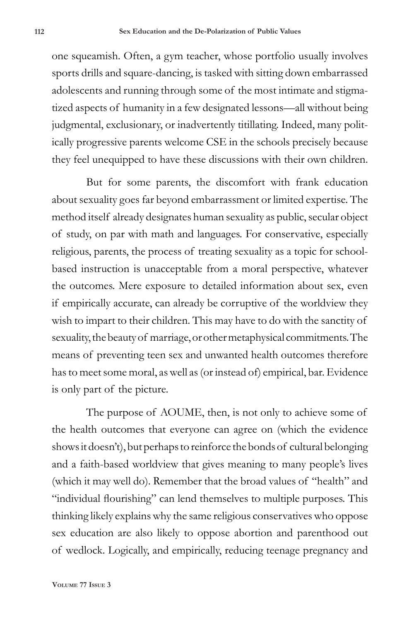one squeamish. Often, a gym teacher, whose portfolio usually involves sports drills and square-dancing, is tasked with sitting down embarrassed adolescents and running through some of the most intimate and stigmatized aspects of humanity in a few designated lessons—all without being judgmental, exclusionary, or inadvertently titillating. Indeed, many politically progressive parents welcome CSE in the schools precisely because they feel unequipped to have these discussions with their own children.

But for some parents, the discomfort with frank education about sexuality goes far beyond embarrassment or limited expertise. The method itself already designates human sexuality as public, secular object of study, on par with math and languages. For conservative, especially religious, parents, the process of treating sexuality as a topic for schoolbased instruction is unacceptable from a moral perspective, whatever the outcomes. Mere exposure to detailed information about sex, even if empirically accurate, can already be corruptive of the worldview they wish to impart to their children. This may have to do with the sanctity of sexuality, the beauty of marriage, or other metaphysical commitments. The means of preventing teen sex and unwanted health outcomes therefore has to meet some moral, as well as (or instead of) empirical, bar. Evidence is only part of the picture.

The purpose of AOUME, then, is not only to achieve some of the health outcomes that everyone can agree on (which the evidence shows it doesn't), but perhaps to reinforce the bonds of cultural belonging and a faith-based worldview that gives meaning to many people's lives (which it may well do). Remember that the broad values of "health" and "individual flourishing" can lend themselves to multiple purposes. This thinking likely explains why the same religious conservatives who oppose sex education are also likely to oppose abortion and parenthood out of wedlock. Logically, and empirically, reducing teenage pregnancy and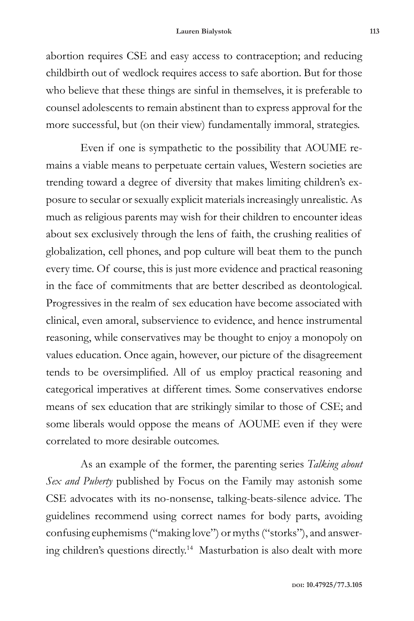abortion requires CSE and easy access to contraception; and reducing childbirth out of wedlock requires access to safe abortion. But for those who believe that these things are sinful in themselves, it is preferable to counsel adolescents to remain abstinent than to express approval for the more successful, but (on their view) fundamentally immoral, strategies.

Even if one is sympathetic to the possibility that AOUME remains a viable means to perpetuate certain values, Western societies are trending toward a degree of diversity that makes limiting children's exposure to secular or sexually explicit materials increasingly unrealistic. As much as religious parents may wish for their children to encounter ideas about sex exclusively through the lens of faith, the crushing realities of globalization, cell phones, and pop culture will beat them to the punch every time. Of course, this is just more evidence and practical reasoning in the face of commitments that are better described as deontological. Progressives in the realm of sex education have become associated with clinical, even amoral, subservience to evidence, and hence instrumental reasoning, while conservatives may be thought to enjoy a monopoly on values education. Once again, however, our picture of the disagreement tends to be oversimplified. All of us employ practical reasoning and categorical imperatives at different times. Some conservatives endorse means of sex education that are strikingly similar to those of CSE; and some liberals would oppose the means of AOUME even if they were correlated to more desirable outcomes.

As an example of the former, the parenting series *Talking about Sex and Puberty* published by Focus on the Family may astonish some CSE advocates with its no-nonsense, talking-beats-silence advice. The guidelines recommend using correct names for body parts, avoiding confusing euphemisms ("making love") or myths ("storks"), and answering children's questions directly.14 Masturbation is also dealt with more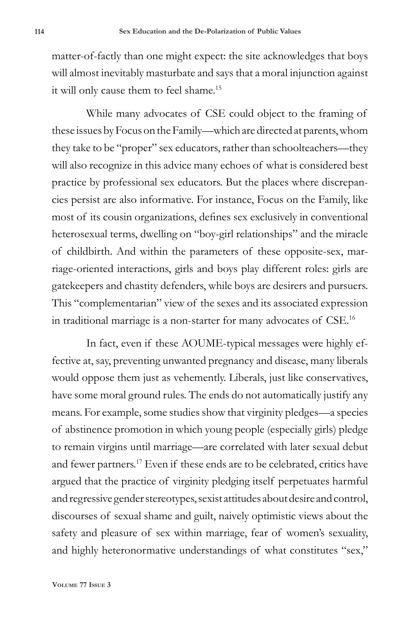matter-of-factly than one might expect: the site acknowledges that boys will almost inevitably masturbate and says that a moral injunction against it will only cause them to feel shame.<sup>15</sup>

While many advocates of CSE could object to the framing of these issues by Focus on the Family—which are directed at parents, whom they take to be "proper" sex educators, rather than schoolteachers—they will also recognize in this advice many echoes of what is considered best practice by professional sex educators. But the places where discrepancies persist are also informative. For instance, Focus on the Family, like most of its cousin organizations, defines sex exclusively in conventional heterosexual terms, dwelling on "boy-girl relationships" and the miracle of childbirth. And within the parameters of these opposite-sex, marriage-oriented interactions, girls and boys play different roles: girls are gatekeepers and chastity defenders, while boys are desirers and pursuers. This "complementarian" view of the sexes and its associated expression in traditional marriage is a non-starter for many advocates of CSE.16

In fact, even if these AOUME-typical messages were highly effective at, say, preventing unwanted pregnancy and disease, many liberals would oppose them just as vehemently. Liberals, just like conservatives, have some moral ground rules. The ends do not automatically justify any means. For example, some studies show that virginity pledges—a species of abstinence promotion in which young people (especially girls) pledge to remain virgins until marriage—are correlated with later sexual debut and fewer partners.17 Even if these ends are to be celebrated, critics have argued that the practice of virginity pledging itself perpetuates harmful and regressive gender stereotypes, sexist attitudes about desire and control, discourses of sexual shame and guilt, naively optimistic views about the safety and pleasure of sex within marriage, fear of women's sexuality, and highly heteronormative understandings of what constitutes "sex,"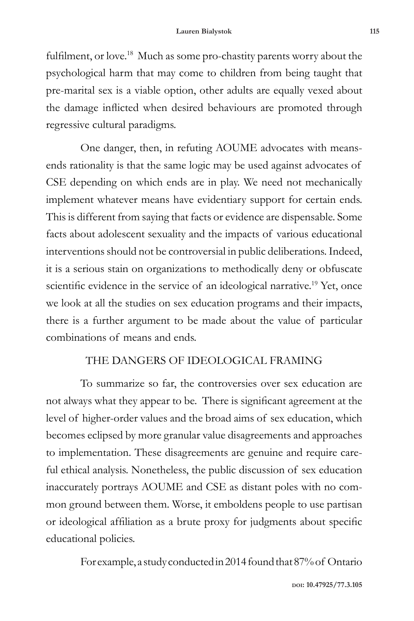fulfilment, or love.<sup>18</sup> Much as some pro-chastity parents worry about the psychological harm that may come to children from being taught that pre-marital sex is a viable option, other adults are equally vexed about the damage inflicted when desired behaviours are promoted through regressive cultural paradigms.

One danger, then, in refuting AOUME advocates with meansends rationality is that the same logic may be used against advocates of CSE depending on which ends are in play. We need not mechanically implement whatever means have evidentiary support for certain ends. This is different from saying that facts or evidence are dispensable. Some facts about adolescent sexuality and the impacts of various educational interventions should not be controversial in public deliberations. Indeed, it is a serious stain on organizations to methodically deny or obfuscate scientific evidence in the service of an ideological narrative.<sup>19</sup> Yet, once we look at all the studies on sex education programs and their impacts, there is a further argument to be made about the value of particular combinations of means and ends.

### THE DANGERS OF IDEOLOGICAL FRAMING

To summarize so far, the controversies over sex education are not always what they appear to be. There is significant agreement at the level of higher-order values and the broad aims of sex education, which becomes eclipsed by more granular value disagreements and approaches to implementation. These disagreements are genuine and require careful ethical analysis. Nonetheless, the public discussion of sex education inaccurately portrays AOUME and CSE as distant poles with no common ground between them. Worse, it emboldens people to use partisan or ideological affiliation as a brute proxy for judgments about specific educational policies.

For example, a study conducted in 2014 found that 87% of Ontario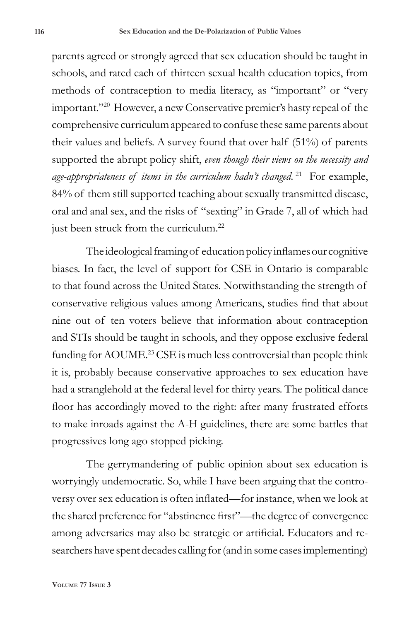parents agreed or strongly agreed that sex education should be taught in schools, and rated each of thirteen sexual health education topics, from methods of contraception to media literacy, as "important" or "very important."20 However, a new Conservative premier's hasty repeal of the comprehensive curriculum appeared to confuse these same parents about their values and beliefs. A survey found that over half (51%) of parents supported the abrupt policy shift, *even though their views on the necessity and age-appropriateness of items in the curriculum hadn't changed*. 21 For example, 84% of them still supported teaching about sexually transmitted disease, oral and anal sex, and the risks of "sexting" in Grade 7, all of which had just been struck from the curriculum.<sup>22</sup>

The ideological framing of education policy inflames our cognitive biases. In fact, the level of support for CSE in Ontario is comparable to that found across the United States. Notwithstanding the strength of conservative religious values among Americans, studies find that about nine out of ten voters believe that information about contraception and STIs should be taught in schools, and they oppose exclusive federal funding for AOUME.<sup>23</sup> CSE is much less controversial than people think it is, probably because conservative approaches to sex education have had a stranglehold at the federal level for thirty years. The political dance floor has accordingly moved to the right: after many frustrated efforts to make inroads against the A-H guidelines, there are some battles that progressives long ago stopped picking.

The gerrymandering of public opinion about sex education is worryingly undemocratic. So, while I have been arguing that the controversy over sex education is often inflated—for instance, when we look at the shared preference for "abstinence first"—the degree of convergence among adversaries may also be strategic or artificial. Educators and researchers have spent decades calling for (and in some cases implementing)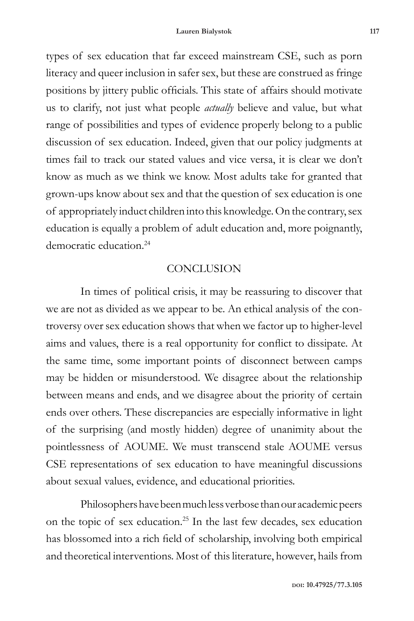types of sex education that far exceed mainstream CSE, such as porn literacy and queer inclusion in safer sex, but these are construed as fringe positions by jittery public officials. This state of affairs should motivate us to clarify, not just what people *actually* believe and value, but what range of possibilities and types of evidence properly belong to a public discussion of sex education. Indeed, given that our policy judgments at times fail to track our stated values and vice versa, it is clear we don't know as much as we think we know. Most adults take for granted that grown-ups know about sex and that the question of sex education is one of appropriately induct children into this knowledge. On the contrary, sex education is equally a problem of adult education and, more poignantly, democratic education.24

#### **CONCLUSION**

In times of political crisis, it may be reassuring to discover that we are not as divided as we appear to be. An ethical analysis of the controversy over sex education shows that when we factor up to higher-level aims and values, there is a real opportunity for conflict to dissipate. At the same time, some important points of disconnect between camps may be hidden or misunderstood. We disagree about the relationship between means and ends, and we disagree about the priority of certain ends over others. These discrepancies are especially informative in light of the surprising (and mostly hidden) degree of unanimity about the pointlessness of AOUME. We must transcend stale AOUME versus CSE representations of sex education to have meaningful discussions about sexual values, evidence, and educational priorities.

Philosophers have been much less verbose than our academic peers on the topic of sex education.25 In the last few decades, sex education has blossomed into a rich field of scholarship, involving both empirical and theoretical interventions. Most of this literature, however, hails from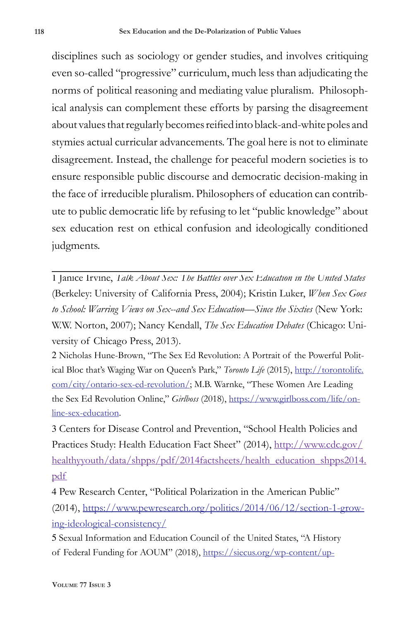disciplines such as sociology or gender studies, and involves critiquing even so-called "progressive" curriculum, much less than adjudicating the norms of political reasoning and mediating value pluralism. Philosophical analysis can complement these efforts by parsing the disagreement about values that regularly becomes reified into black-and-white poles and stymies actual curricular advancements. The goal here is not to eliminate disagreement. Instead, the challenge for peaceful modern societies is to ensure responsible public discourse and democratic decision-making in the face of irreducible pluralism. Philosophers of education can contribute to public democratic life by refusing to let "public knowledge" about sex education rest on ethical confusion and ideologically conditioned judgments.

1 Janice Irvine, *Talk About Sex: The Battles over Sex Education in the United States* (Berkeley: University of California Press, 2004); Kristin Luker, *When Sex Goes to School: Warring Views on Sex--and Sex Education—Since the Sixties* (New York: W.W. Norton, 2007); Nancy Kendall, *The Sex Education Debates* (Chicago: University of Chicago Press, 2013).

2 Nicholas Hune-Brown, "The Sex Ed Revolution: A Portrait of the Powerful Political Bloc that's Waging War on Queen's Park," *Toronto Life* (2015), http://torontolife. com/city/ontario-sex-ed-revolution/; M.B. Warnke, "These Women Are Leading the Sex Ed Revolution Online," *Girlboss* (2018), https://www.girlboss.com/life/online-sex-education.

3 Centers for Disease Control and Prevention, "School Health Policies and Practices Study: Health Education Fact Sheet" (2014), http://www.cdc.gov/ healthyyouth/data/shpps/pdf/2014factsheets/health\_education\_shpps2014. pdf

4 Pew Research Center, "Political Polarization in the American Public" (2014), https://www.pewresearch.org/politics/2014/06/12/section-1-growing-ideological-consistency/

5 Sexual Information and Education Council of the United States, "A History of Federal Funding for AOUM" (2018), https://siecus.org/wp-content/up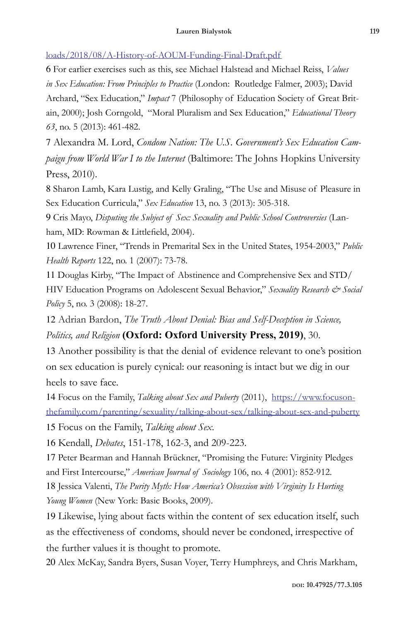loads/2018/08/A-History-of-AOUM-Funding-Final-Draft.pdf

6 For earlier exercises such as this, see Michael Halstead and Michael Reiss, *Values in Sex Education: From Principles to Practice* (London: Routledge Falmer, 2003); David Archard, "Sex Education," *Impact* 7 (Philosophy of Education Society of Great Britain, 2000); Josh Corngold, "Moral Pluralism and Sex Education," *Educational Theory 63*, no. 5 (2013): 461-482.

7 Alexandra M. Lord, *Condom Nation: The U.S. Government's Sex Education Campaign from World War I to the Internet* (Baltimore: The Johns Hopkins University Press, 2010).

8 Sharon Lamb, Kara Lustig, and Kelly Graling, "The Use and Misuse of Pleasure in Sex Education Curricula," *Sex Education* 13, no. 3 (2013): 305-318.

9 Cris Mayo, *Disputing the Subject of Sex: Sexuality and Public School Controversies* (Lanham, MD: Rowman & Littlefield, 2004).

10 Lawrence Finer, "Trends in Premarital Sex in the United States, 1954-2003," *Public Health Reports* 122, no. 1 (2007): 73-78.

11 Douglas Kirby, "The Impact of Abstinence and Comprehensive Sex and STD/ HIV Education Programs on Adolescent Sexual Behavior," Sexuality Research & Social *Policy* 5, no. 3 (2008): 18-27.

12 Adrian Bardon, *The Truth About Denial: Bias and Self-Deception in Science,* 

*Politics, and Religion* **(Oxford: Oxford University Press, 2019)**, 30.

13 Another possibility is that the denial of evidence relevant to one's position on sex education is purely cynical: our reasoning is intact but we dig in our heels to save face.

14 Focus on the Family, *Talking about Sex and Puberty* (2011), https://www.focusonthefamily.com/parenting/sexuality/talking-about-sex/talking-about-sex-and-puberty 15 Focus on the Family, *Talking about Sex*.

16 Kendall, *Debates*, 151-178, 162-3, and 209-223.

17 Peter Bearman and Hannah Brückner, "Promising the Future: Virginity Pledges and First Intercourse," *American Journal of Sociology* 106, no. 4 (2001): 852-912.

18 Jessica Valenti, *The Purity Myth: How America's Obsession with Virginity Is Hurting Young Women* (New York: Basic Books, 2009).

19 Likewise, lying about facts within the content of sex education itself, such as the effectiveness of condoms, should never be condoned, irrespective of the further values it is thought to promote.

20 Alex McKay, Sandra Byers, Susan Voyer, Terry Humphreys, and Chris Markham,